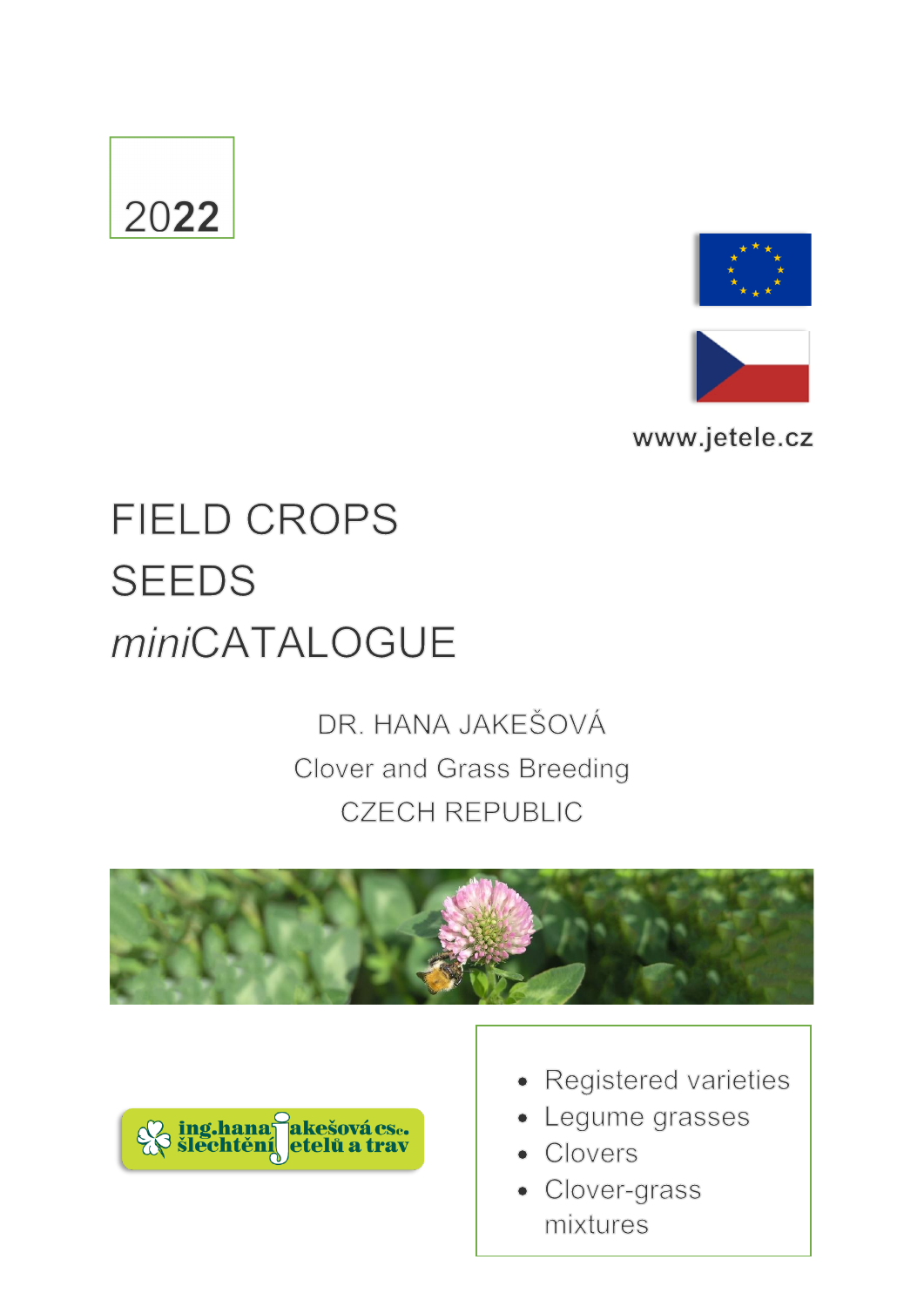# 2022





www.jetele.cz

## **FIELD CROPS SEEDS** miniCATALOGUE

### DR. HANA JAKEŠOVÁ Clover and Grass Breeding **CZECH REPUBLIC**





- Registered varieties
- Legume grasses
- Clovers
- Clover-grass mixtures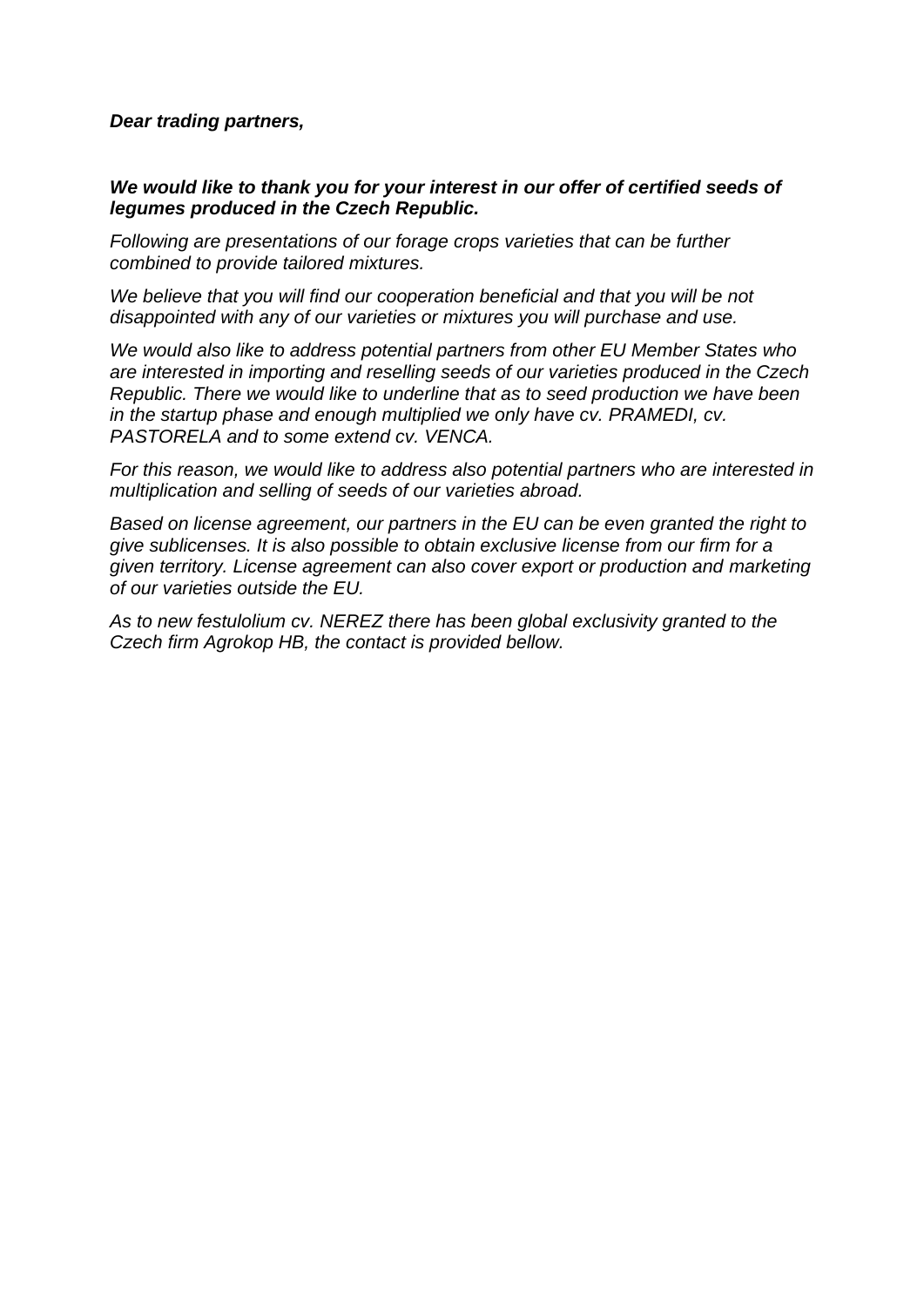### *Dear trading partners,*

### *We would like to thank you for your interest in our offer of certified seeds of legumes produced in the Czech Republic.*

*Following are presentations of our forage crops varieties that can be further combined to provide tailored mixtures.* 

*We believe that you will find our cooperation beneficial and that you will be not disappointed with any of our varieties or mixtures you will purchase and use.*

*We would also like to address potential partners from other EU Member States who are interested in importing and reselling seeds of our varieties produced in the Czech Republic. There we would like to underline that as to seed production we have been*  in the startup phase and enough multiplied we only have cv. PRAMEDI, cv. *PASTORELA and to some extend cv. VENCA.*

*For this reason, we would like to address also potential partners who are interested in multiplication and selling of seeds of our varieties abroad.* 

*Based on license agreement, our partners in the EU can be even granted the right to give sublicenses. It is also possible to obtain exclusive license from our firm for a given territory. License agreement can also cover export or production and marketing of our varieties outside the EU.*

*As to new festulolium cv. NEREZ there has been global exclusivity granted to the Czech firm Agrokop HB, the contact is provided bellow.*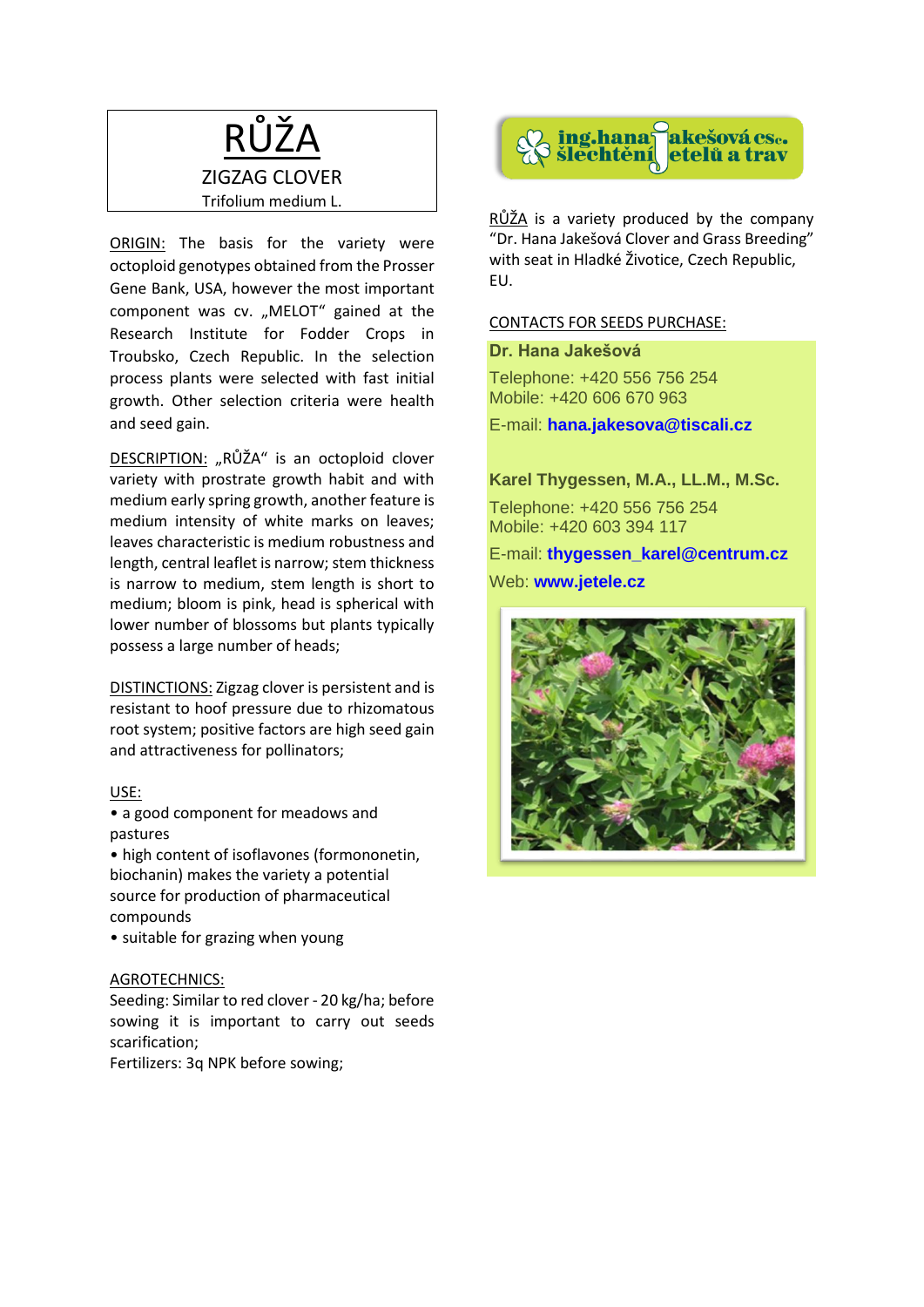

ORIGIN: The basis for the variety were octoploid genotypes obtained from the Prosser Gene Bank, USA, however the most important component was cv. "MELOT" gained at the Research Institute for Fodder Crops in Troubsko, Czech Republic. In the selection process plants were selected with fast initial growth. Other selection criteria were health and seed gain.

DESCRIPTION: "RŮŽA" is an octoploid clover variety with prostrate growth habit and with medium early spring growth, another feature is medium intensity of white marks on leaves; leaves characteristic is medium robustness and length, central leaflet is narrow; stem thickness is narrow to medium, stem length is short to medium; bloom is pink, head is spherical with lower number of blossoms but plants typically possess a large number of heads;

DISTINCTIONS: Zigzag clover is persistent and is resistant to hoof pressure due to rhizomatous root system; positive factors are high seed gain and attractiveness for pollinators;

#### USE:

• a good component for meadows and pastures

• high content of isoflavones (formononetin, biochanin) makes the variety a potential source for production of pharmaceutical compounds

• suitable for grazing when young

### AGROTECHNICS:

Seeding: Similar to red clover - 20 kg/ha; before sowing it is important to carry out seeds scarification;

Fertilizers: 3q NPK before sowing;



RŮŽA is a variety produced by the company "Dr. Hana Jakešová Clover and Grass Breeding" with seat in Hladké Životice, Czech Republic, EU.

### CONTACTS FOR SEEDS PURCHASE:

### **Dr. Hana Jakešová**

Telephone: +420 556 756 254 Mobile: +420 606 670 963

E-mail: **[hana.jakesova@tiscali.cz](mailto:hana.jakesova@tiscali.cz)**

### **Karel Thygessen, M.A., LL.M., M.Sc.**

Telephone: +420 556 756 254 Mobile: +420 603 394 117

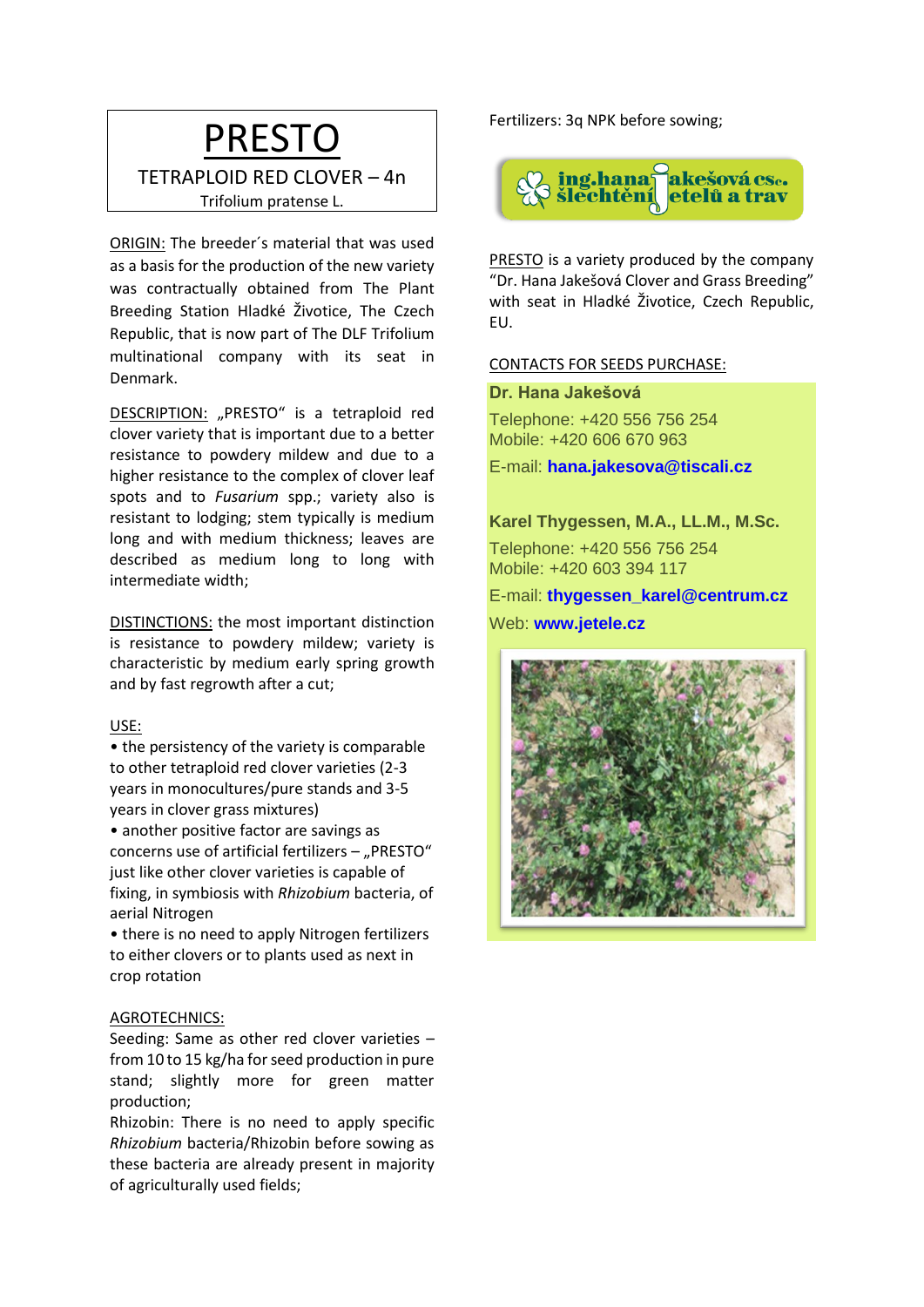### PRESTO

### TETRAPLOID RED CLOVER – 4n Trifolium pratense L.

ORIGIN: The breeder´s material that was used as a basis for the production of the new variety was contractually obtained from The Plant Breeding Station Hladké Životice, The Czech Republic, that is now part of The DLF Trifolium multinational company with its seat in Denmark.

DESCRIPTION: "PRESTO" is a tetraploid red clover variety that is important due to a better resistance to powdery mildew and due to a higher resistance to the complex of clover leaf spots and to *Fusarium* spp.; variety also is resistant to lodging; stem typically is medium long and with medium thickness; leaves are described as medium long to long with intermediate width;

DISTINCTIONS: the most important distinction is resistance to powdery mildew; variety is characteristic by medium early spring growth and by fast regrowth after a cut;

### USE:

• the persistency of the variety is comparable to other tetraploid red clover varieties (2-3 years in monocultures/pure stands and 3-5 years in clover grass mixtures)

• another positive factor are savings as concerns use of artificial fertilizers  $-$  "PRESTO" just like other clover varieties is capable of fixing, in symbiosis with *Rhizobium* bacteria, of aerial Nitrogen

• there is no need to apply Nitrogen fertilizers to either clovers or to plants used as next in crop rotation

### AGROTECHNICS:

Seeding: Same as other red clover varieties – from 10 to 15 kg/ha for seed production in pure stand; slightly more for green matter production;

Rhizobin: There is no need to apply specific *Rhizobium* bacteria/Rhizobin before sowing as these bacteria are already present in majority of agriculturally used fields;

Fertilizers: 3q NPK before sowing;



PRESTO is a variety produced by the company "Dr. Hana Jakešová Clover and Grass Breeding" with seat in Hladké Životice, Czech Republic, EU.

### CONTACTS FOR SEEDS PURCHASE:

**Dr. Hana Jakešová**

Telephone: +420 556 756 254 Mobile: +420 606 670 963

E-mail: **[hana.jakesova@tiscali.cz](mailto:hana.jakesova@tiscali.cz)**

**Karel Thygessen, M.A., LL.M., M.Sc.**

Telephone: +420 556 756 254 Mobile: +420 603 394 117

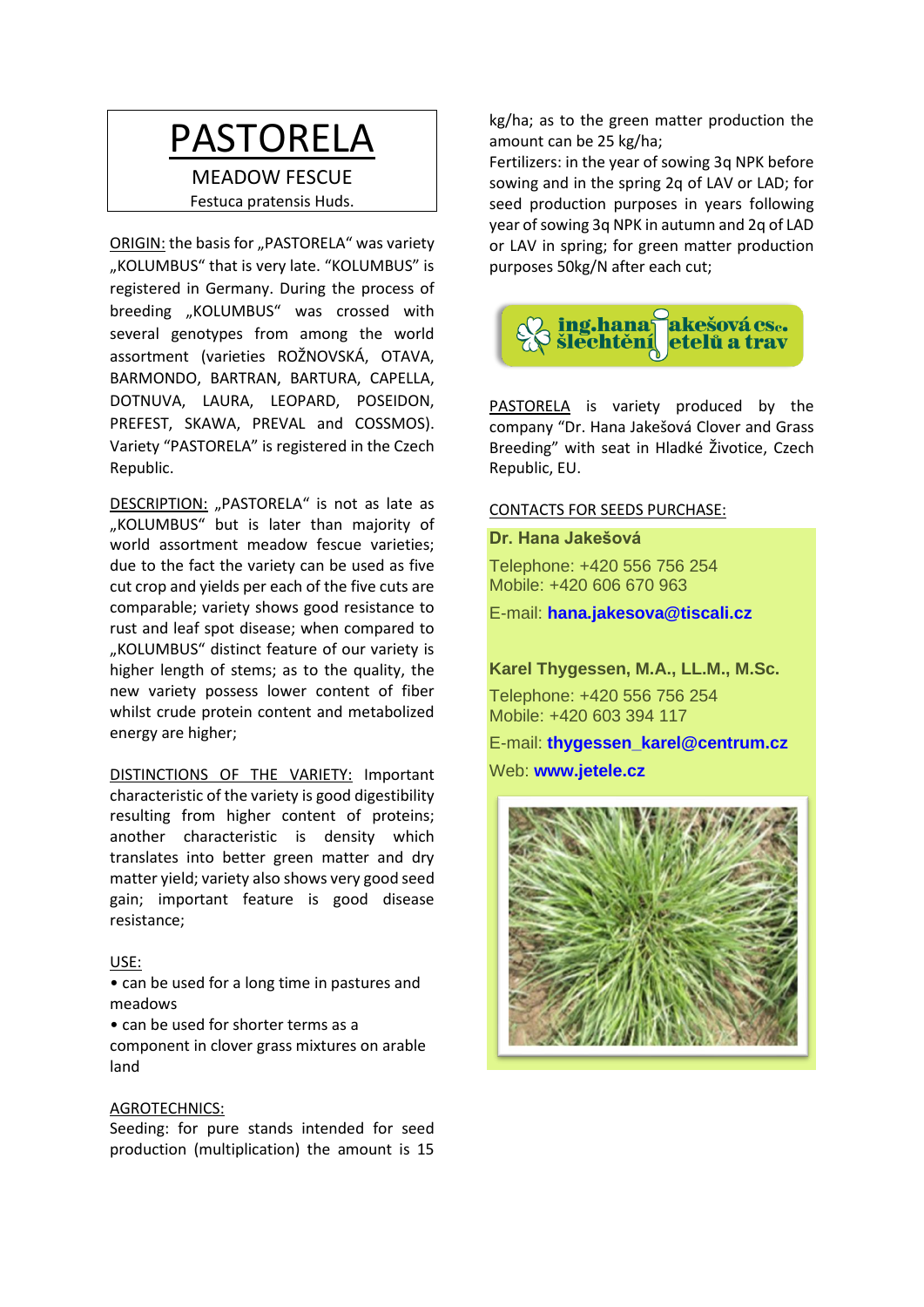### PASTORELA

MEADOW FESCUE Festuca pratensis Huds.

ORIGIN: the basis for "PASTORELA" was variety "KOLUMBUS" that is very late. "KOLUMBUS" is registered in Germany. During the process of breeding "KOLUMBUS" was crossed with several genotypes from among the world assortment (varieties ROŽNOVSKÁ, OTAVA, BARMONDO, BARTRAN, BARTURA, CAPELLA, DOTNUVA, LAURA, LEOPARD, POSEIDON, PREFEST, SKAWA, PREVAL and COSSMOS). Variety "PASTORELA" is registered in the Czech Republic.

DESCRIPTION: "PASTORELA" is not as late as "KOLUMBUS" but is later than majority of world assortment meadow fescue varieties; due to the fact the variety can be used as five cut crop and yields per each of the five cuts are comparable; variety shows good resistance to rust and leaf spot disease; when compared to "KOLUMBUS" distinct feature of our variety is higher length of stems; as to the quality, the new variety possess lower content of fiber whilst crude protein content and metabolized energy are higher;

DISTINCTIONS OF THE VARIETY: Important characteristic of the variety is good digestibility resulting from higher content of proteins; another characteristic is density which translates into better green matter and dry matter yield; variety also shows very good seed gain; important feature is good disease resistance;

### USE:

• can be used for a long time in pastures and meadows

• can be used for shorter terms as a component in clover grass mixtures on arable land

#### AGROTECHNICS:

Seeding: for pure stands intended for seed production (multiplication) the amount is 15

kg/ha; as to the green matter production the amount can be 25 kg/ha;

Fertilizers: in the year of sowing 3q NPK before sowing and in the spring 2q of LAV or LAD; for seed production purposes in years following year of sowing 3q NPK in autumn and 2q of LAD or LAV in spring; for green matter production purposes 50kg/N after each cut;



PASTORELA is variety produced by the company "Dr. Hana Jakešová Clover and Grass Breeding" with seat in Hladké Životice, Czech Republic, EU.

#### CONTACTS FOR SEEDS PURCHASE:

### **Dr. Hana Jakešová**

Telephone: +420 556 756 254 Mobile: +420 606 670 963

E-mail: **[hana.jakesova@tiscali.cz](mailto:hana.jakesova@tiscali.cz)**

**Karel Thygessen, M.A., LL.M., M.Sc.**

Telephone: +420 556 756 254 Mobile: +420 603 394 117

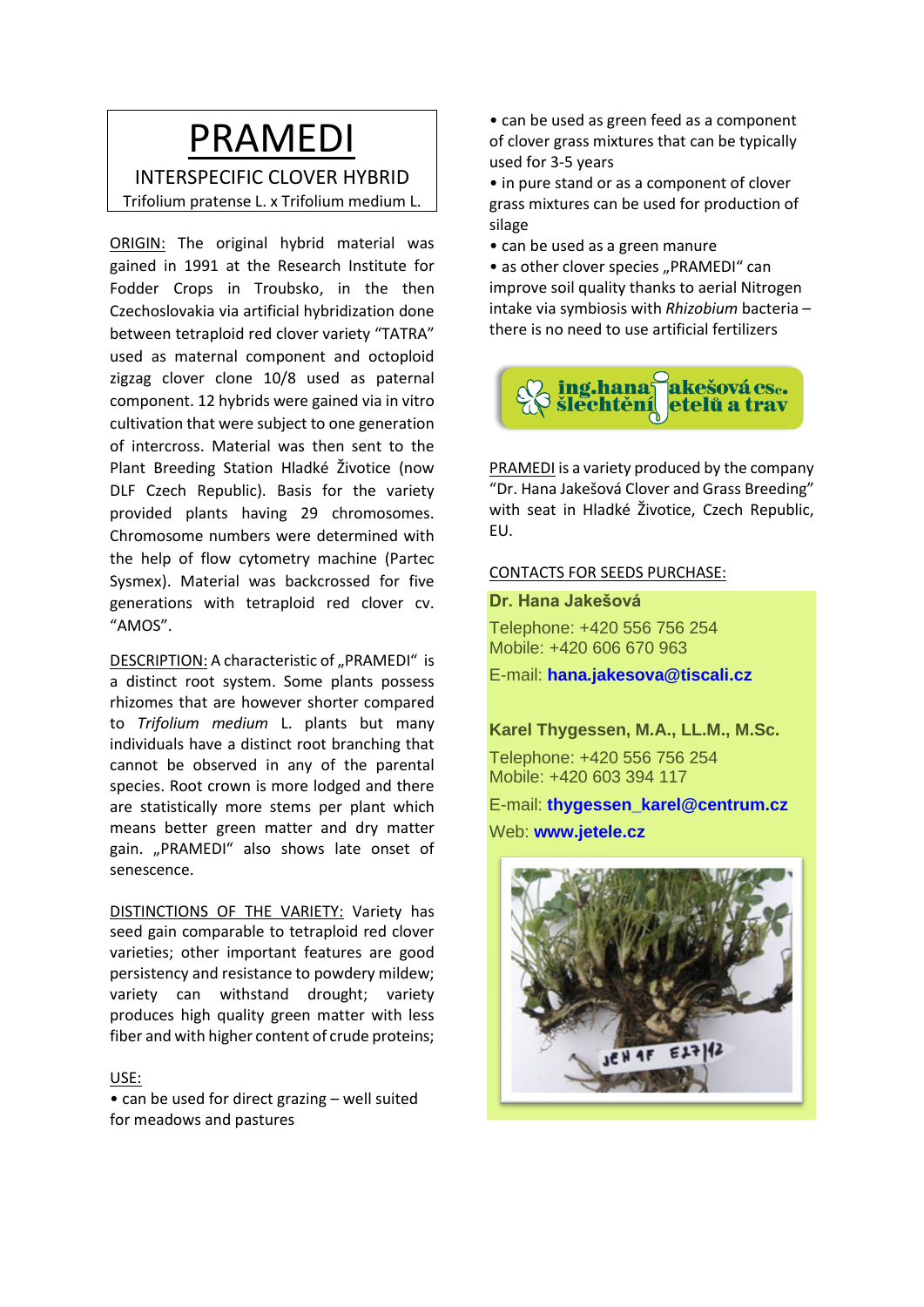### PRAMEDI

INTERSPECIFIC CLOVER HYBRID Trifolium pratense L. x Trifolium medium L.

ORIGIN: The original hybrid material was gained in 1991 at the Research Institute for Fodder Crops in Troubsko, in the then Czechoslovakia via artificial hybridization done between tetraploid red clover variety "TATRA" used as maternal component and octoploid zigzag clover clone 10/8 used as paternal component. 12 hybrids were gained via in vitro cultivation that were subject to one generation of intercross. Material was then sent to the Plant Breeding Station Hladké Životice (now DLF Czech Republic). Basis for the variety provided plants having 29 chromosomes. Chromosome numbers were determined with the help of flow cytometry machine (Partec Sysmex). Material was backcrossed for five generations with tetraploid red clover cv. "AMOS".

DESCRIPTION: A characteristic of "PRAMEDI" is a distinct root system. Some plants possess rhizomes that are however shorter compared to *Trifolium medium* L. plants but many individuals have a distinct root branching that cannot be observed in any of the parental species. Root crown is more lodged and there are statistically more stems per plant which means better green matter and dry matter gain. "PRAMEDI" also shows late onset of senescence.

DISTINCTIONS OF THE VARIETY: Variety has seed gain comparable to tetraploid red clover varieties; other important features are good persistency and resistance to powdery mildew; variety can withstand drought; variety produces high quality green matter with less fiber and with higher content of crude proteins;

### USE:

• can be used for direct grazing – well suited for meadows and pastures

• can be used as green feed as a component of clover grass mixtures that can be typically used for 3-5 years

• in pure stand or as a component of clover grass mixtures can be used for production of silage

• can be used as a green manure

• as other clover species "PRAMEDI" can improve soil quality thanks to aerial Nitrogen intake via symbiosis with *Rhizobium* bacteria – there is no need to use artificial fertilizers



PRAMEDI is a variety produced by the company "Dr. Hana Jakešová Clover and Grass Breeding" with seat in Hladké Životice, Czech Republic, EU.

### CONTACTS FOR SEEDS PURCHASE:

**Dr. Hana Jakešová**

Telephone: +420 556 756 254 Mobile: +420 606 670 963

E-mail: **[hana.jakesova@tiscali.cz](mailto:hana.jakesova@tiscali.cz)**

### **Karel Thygessen, M.A., LL.M., M.Sc.**

Telephone: +420 556 756 254 Mobile: +420 603 394 117

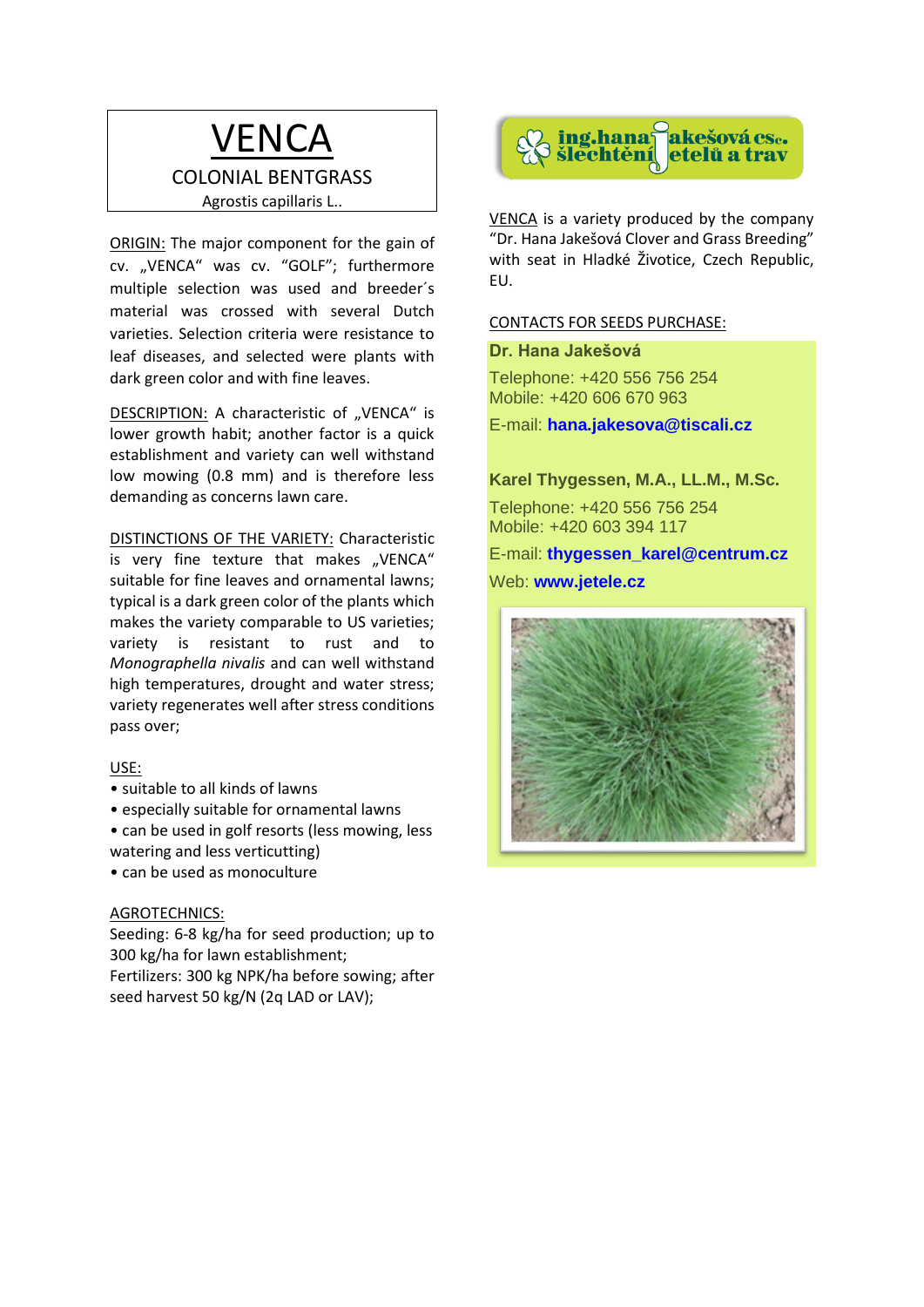### **VENCA** COLONIAL BENTGRASS Agrostis capillaris L..

ORIGIN: The major component for the gain of cv. "VENCA" was cv. "GOLF"; furthermore multiple selection was used and breeder´s material was crossed with several Dutch varieties. Selection criteria were resistance to leaf diseases, and selected were plants with dark green color and with fine leaves.

DESCRIPTION: A characteristic of "VENCA" is lower growth habit; another factor is a quick establishment and variety can well withstand low mowing (0.8 mm) and is therefore less demanding as concerns lawn care.

DISTINCTIONS OF THE VARIETY: Characteristic is very fine texture that makes "VENCA" suitable for fine leaves and ornamental lawns; typical is a dark green color of the plants which makes the variety comparable to US varieties; variety is resistant to rust and to *Monographella nivalis* and can well withstand high temperatures, drought and water stress; variety regenerates well after stress conditions pass over;

### USE:

- suitable to all kinds of lawns
- especially suitable for ornamental lawns
- can be used in golf resorts (less mowing, less watering and less verticutting)
- can be used as monoculture

### AGROTECHNICS:

Seeding: 6-8 kg/ha for seed production; up to 300 kg/ha for lawn establishment; Fertilizers: 300 kg NPK/ha before sowing; after seed harvest 50 kg/N (2q LAD or LAV);



VENCA is a variety produced by the company "Dr. Hana Jakešová Clover and Grass Breeding" with seat in Hladké Životice, Czech Republic, EU.

### CONTACTS FOR SEEDS PURCHASE:

### **Dr. Hana Jakešová**

Telephone: +420 556 756 254 Mobile: +420 606 670 963

E-mail: **[hana.jakesova@tiscali.cz](mailto:hana.jakesova@tiscali.cz)**

### **Karel Thygessen, M.A., LL.M., M.Sc.**

Telephone: +420 556 756 254 Mobile: +420 603 394 117

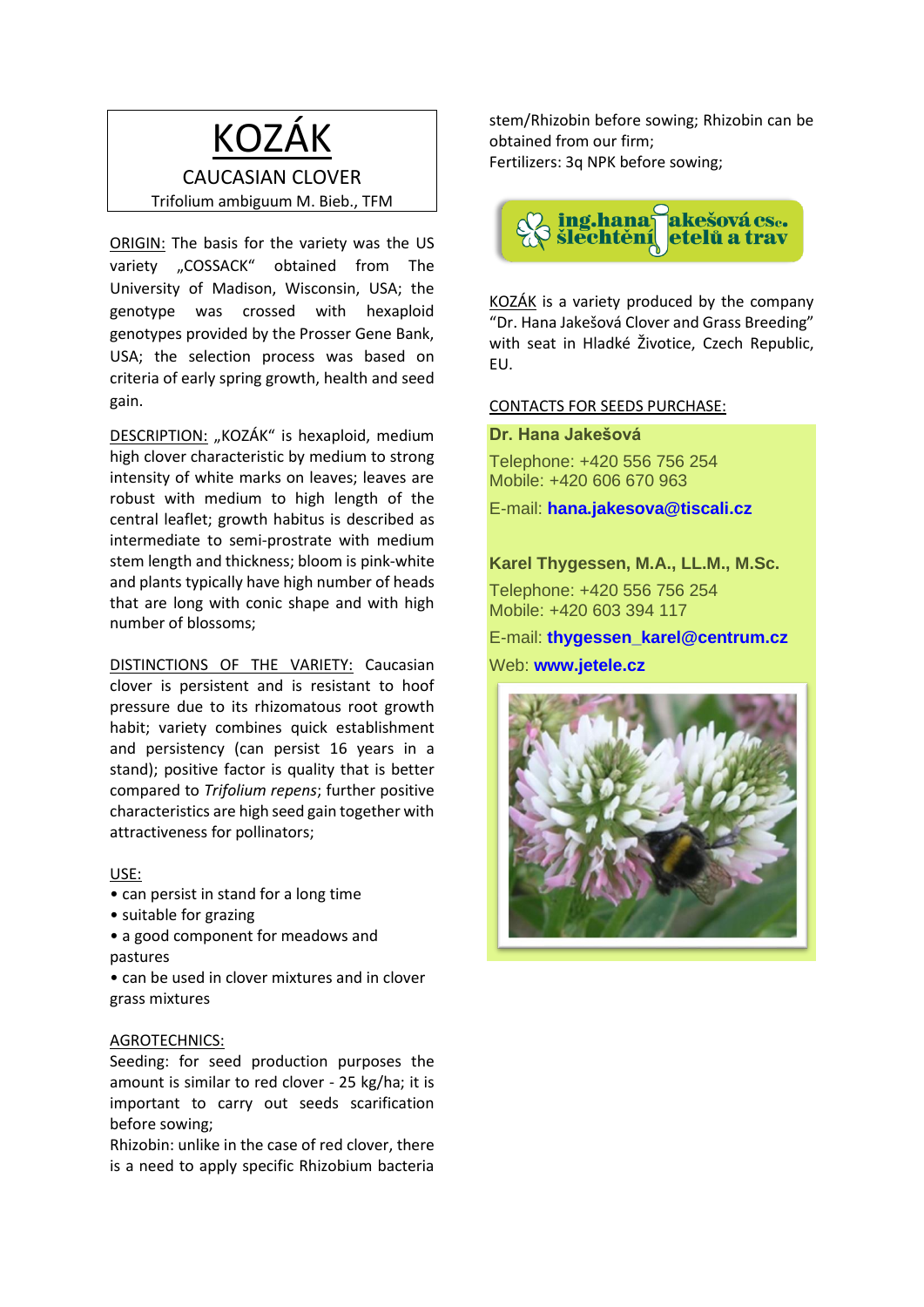### KOZÁK CAUCASIAN CLOVER Trifolium ambiguum M. Bieb., TFM

ORIGIN: The basis for the variety was the US variety ..COSSACK" obtained from The University of Madison, Wisconsin, USA; the genotype was crossed with hexaploid genotypes provided by the Prosser Gene Bank, USA; the selection process was based on criteria of early spring growth, health and seed gain.

DESCRIPTION: "KOZÁK" is hexaploid, medium high clover characteristic by medium to strong intensity of white marks on leaves; leaves are robust with medium to high length of the central leaflet; growth habitus is described as intermediate to semi-prostrate with medium stem length and thickness; bloom is pink-white and plants typically have high number of heads that are long with conic shape and with high number of blossoms;

DISTINCTIONS OF THE VARIETY: Caucasian clover is persistent and is resistant to hoof pressure due to its rhizomatous root growth habit; variety combines quick establishment and persistency (can persist 16 years in a stand); positive factor is quality that is better compared to *Trifolium repens*; further positive characteristics are high seed gain together with attractiveness for pollinators;

### USE:

- can persist in stand for a long time
- suitable for grazing

• a good component for meadows and pastures

• can be used in clover mixtures and in clover grass mixtures

#### AGROTECHNICS:

Seeding: for seed production purposes the amount is similar to red clover - 25 kg/ha; it is important to carry out seeds scarification before sowing;

Rhizobin: unlike in the case of red clover, there is a need to apply specific Rhizobium bacteria

stem/Rhizobin before sowing; Rhizobin can be obtained from our firm; Fertilizers: 3q NPK before sowing;



KOZÁK is a variety produced by the company "Dr. Hana Jakešová Clover and Grass Breeding" with seat in Hladké Životice, Czech Republic, EU.

### CONTACTS FOR SEEDS PURCHASE:

**Dr. Hana Jakešová**

Telephone: +420 556 756 254 Mobile: +420 606 670 963

E-mail: **[hana.jakesova@tiscali.cz](mailto:hana.jakesova@tiscali.cz)**

### **Karel Thygessen, M.A., LL.M., M.Sc.**

Telephone: +420 556 756 254 Mobile: +420 603 394 117

### E-mail: **[thygessen\\_karel@centrum.cz](mailto:thygessen_karel@centrum.cz)**

Web: **www.jetele.cz**

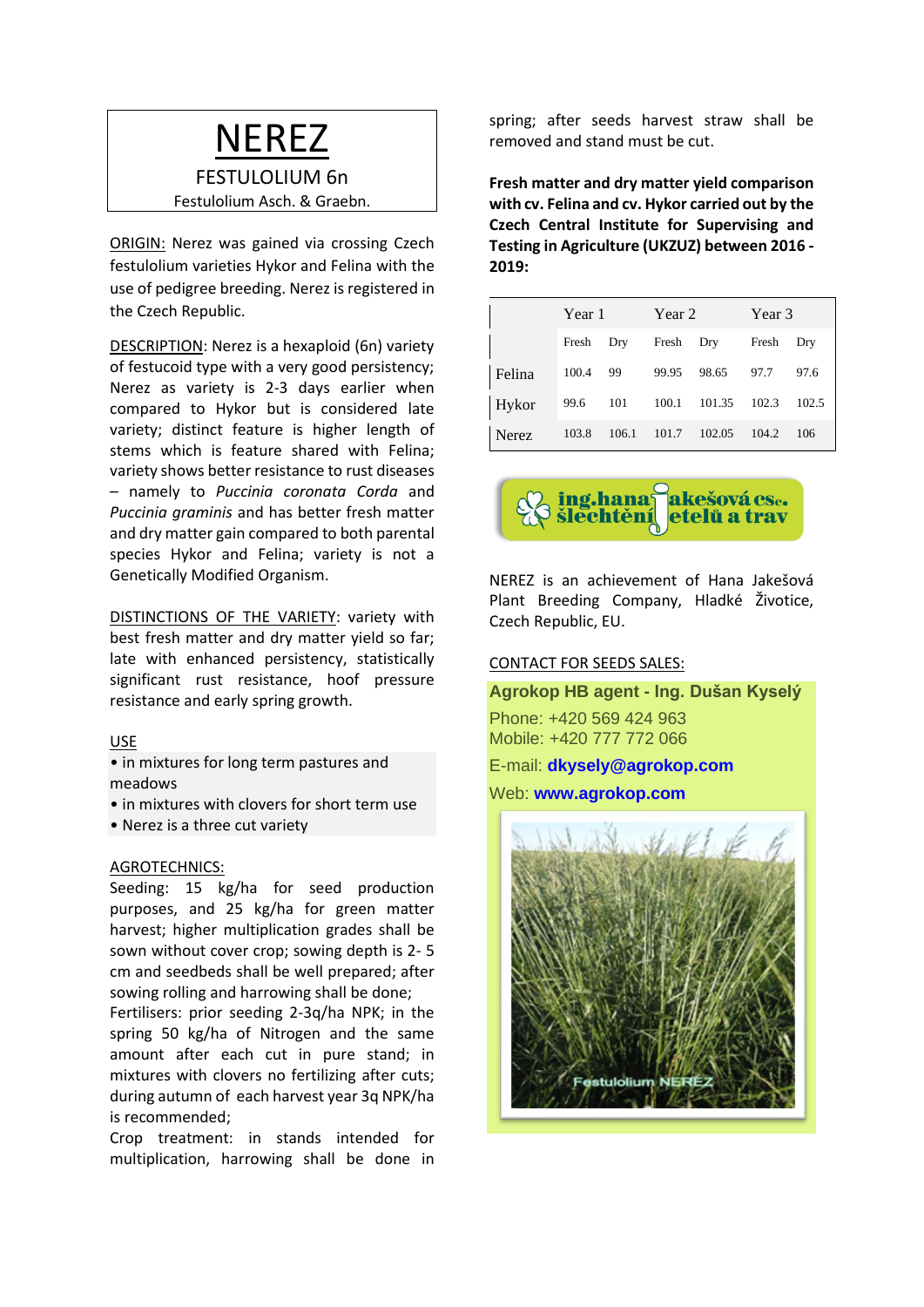### NEREZ

### FESTULOLIUM 6n

Festulolium Asch. & Graebn.

ORIGIN: Nerez was gained via crossing Czech festulolium varieties Hykor and Felina with the use of pedigree breeding. Nerez is registered in the Czech Republic.

DESCRIPTION: Nerez is a hexaploid (6n) variety of festucoid type with a very good persistency; Nerez as variety is 2-3 days earlier when compared to Hykor but is considered late variety; distinct feature is higher length of stems which is feature shared with Felina; variety shows better resistance to rust diseases – namely to *Puccinia coronata Corda* and *Puccinia graminis* and has better fresh matter and dry matter gain compared to both parental species Hykor and Felina; variety is not a Genetically Modified Organism.

DISTINCTIONS OF THE VARIETY: variety with best fresh matter and dry matter yield so far; late with enhanced persistency, statistically significant rust resistance, hoof pressure resistance and early spring growth.

#### USE

- in mixtures for long term pastures and meadows
- in mixtures with clovers for short term use
- Nerez is a three cut variety

#### AGROTECHNICS:

Seeding: 15 kg/ha for seed production purposes, and 25 kg/ha for green matter harvest; higher multiplication grades shall be sown without cover crop; sowing depth is 2- 5 cm and seedbeds shall be well prepared; after sowing rolling and harrowing shall be done;

Fertilisers: prior seeding 2-3q/ha NPK; in the spring 50 kg/ha of Nitrogen and the same amount after each cut in pure stand; in mixtures with clovers no fertilizing after cuts; during autumn of each harvest year 3q NPK/ha is recommended;

Crop treatment: in stands intended for multiplication, harrowing shall be done in spring; after seeds harvest straw shall be removed and stand must be cut.

**Fresh matter and dry matter yield comparison with cv. Felina and cv. Hykor carried out by the Czech Central Institute for Supervising and Testing in Agriculture (UKZUZ) between 2016 - 2019:**

|        | Year 1    |       | Year 2    |        | Year 3 |       |
|--------|-----------|-------|-----------|--------|--------|-------|
|        | Fresh Dry |       | Fresh Dry |        | Fresh  | Dry   |
| Felina | 100.4     | 99    | 99.95     | 98.65  | 97.7   | 97.6  |
| Hykor  | 99.6      | 101   | 100.1     | 101.35 | 102.3  | 102.5 |
| Nerez  | 103.8     | 106.1 | 101.7     | 102.05 | 104.2  | 106   |



NEREZ is an achievement of Hana Jakešová Plant Breeding Company, Hladké Životice, Czech Republic, EU.

#### CONTACT FOR SEEDS SALES:

**Agrokop HB agent - Ing. Dušan Kyselý**

Phone: +420 569 424 963 Mobile: +420 777 772 066

E-mail: **[dkysely@agrokop.com](mailto:dkysely@agrokop.com)**

Web: **[www.agrokop.com](http://www.agrokop.com/)**

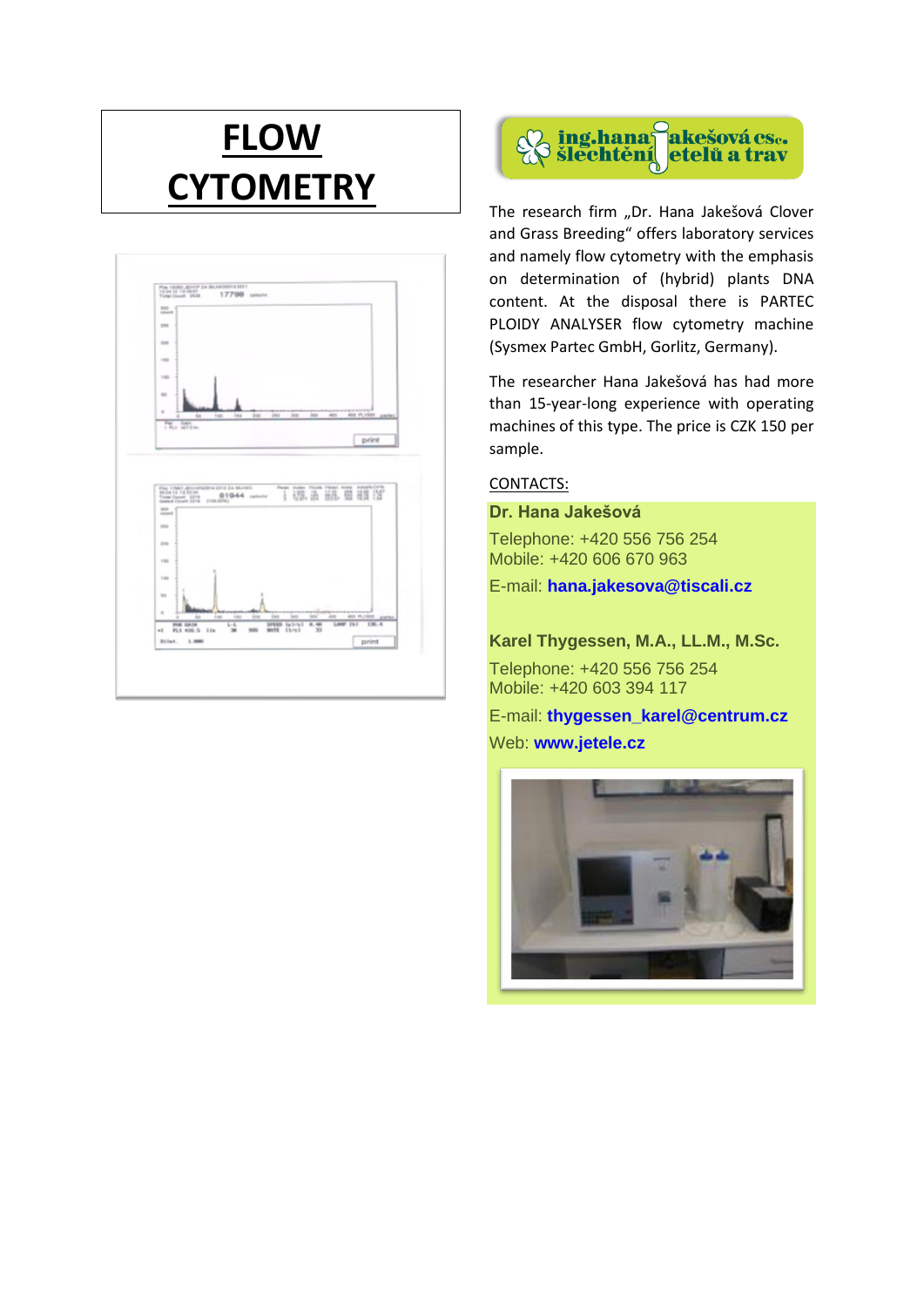## **FLOW CYTOMETRY**





The research firm "Dr. Hana Jakešová Clover and Grass Breeding" offers laboratory services and namely flow cytometry with the emphasis on determination of (hybrid) plants DNA content. At the disposal there is PARTEC PLOIDY ANALYSER flow cytometry machine (Sysmex Partec GmbH, Gorlitz, Germany).

The researcher Hana Jakešová has had more than 15-year-long experience with operating machines of this type. The price is CZK 150 per sample.

### CONTACTS:

**Dr. Hana Jakešová**

Telephone: +420 556 756 254 Mobile: +420 606 670 963

E-mail: **[hana.jakesova@tiscali.cz](mailto:hana.jakesova@tiscali.cz)**

**Karel Thygessen, M.A., LL.M., M.Sc.**

Telephone: +420 556 756 254 Mobile: +420 603 394 117